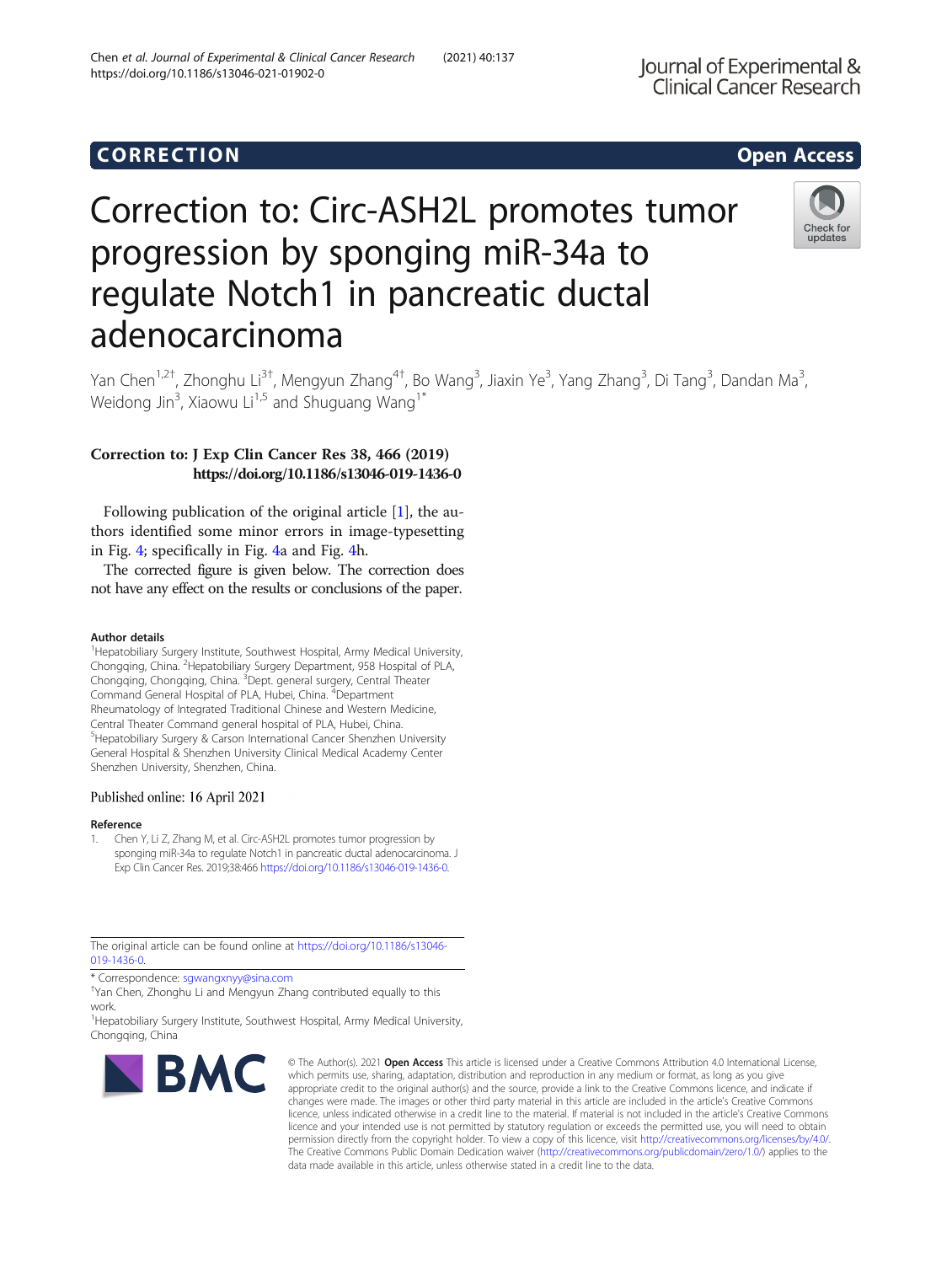# Corresponding to the corresponding to the corresponding to the corresponding to the corresponding to the corresponding to the corresponding to the corresponding to the corresponding to the corresponding to the correspondin

# Correction to: Circ-ASH2L promotes tumor progression by sponging miR-34a to regulate Notch1 in pancreatic ductal adenocarcinoma



Yan Chen<sup>1,2†</sup>, Zhonghu Li<sup>3†</sup>, Mengyun Zhang<sup>4†</sup>, Bo Wang<sup>3</sup>, Jiaxin Ye<sup>3</sup>, Yang Zhang<sup>3</sup>, Di Tang<sup>3</sup>, Dandan Ma<sup>3</sup> , Weidong Jin<sup>3</sup>, Xiaowu Li<sup>1,5</sup> and Shuguang Wang<sup>1\*</sup>

## Correction to: J Exp Clin Cancer Res 38, 466 (2019) https://doi.org/10.1186/s13046-019-1436-0

Following publication of the original article [1], the authors identified some minor errors in image-typesetting in Fig. [4;](#page-1-0) specifically in Fig. [4](#page-1-0)a and Fig. [4](#page-1-0)h.

The corrected figure is given below. The correction does not have any effect on the results or conclusions of the paper.

### Author details

<sup>1</sup> Hepatobiliary Surgery Institute, Southwest Hospital, Army Medical University, Chongqing, China. <sup>2</sup> Hepatobiliary Surgery Department, 958 Hospital of PLA, Chongqing, Chongqing, China. <sup>3</sup>Dept. general surgery, Central Theater Command General Hospital of PLA, Hubei, China. <sup>4</sup>Department Rheumatology of Integrated Traditional Chinese and Western Medicine, Central Theater Command general hospital of PLA, Hubei, China. 5 Hepatobiliary Surgery & Carson International Cancer Shenzhen University General Hospital & Shenzhen University Clinical Medical Academy Center Shenzhen University, Shenzhen, China.

### Published online: 16 April 2021

### Reference

1. Chen Y, Li Z, Zhang M, et al. Circ-ASH2L promotes tumor progression by sponging miR-34a to regulate Notch1 in pancreatic ductal adenocarcinoma. J Exp Clin Cancer Res. 2019;38:466 [https://doi.org/10.1186/s13046-019-1436-0.](https://doi.org/10.1186/s13046-019-1436-0)

The original article can be found online at [https://doi.org/10.1186/s13046-](https://doi.org/10.1186/s13046-019-1436-0) [019-1436-0.](https://doi.org/10.1186/s13046-019-1436-0)

\* Correspondence: [sgwangxnyy@sina.com](mailto:sgwangxnyy@sina.com) †

Yan Chen, Zhonghu Li and Mengyun Zhang contributed equally to this work.

<sup>1</sup> Hepatobiliary Surgery Institute, Southwest Hospital, Army Medical University, Chongqing, China



© The Author(s), 2021 **Open Access** This article is licensed under a Creative Commons Attribution 4.0 International License, which permits use, sharing, adaptation, distribution and reproduction in any medium or format, as long as you give appropriate credit to the original author(s) and the source, provide a link to the Creative Commons licence, and indicate if changes were made. The images or other third party material in this article are included in the article's Creative Commons licence, unless indicated otherwise in a credit line to the material. If material is not included in the article's Creative Commons licence and your intended use is not permitted by statutory regulation or exceeds the permitted use, you will need to obtain permission directly from the copyright holder. To view a copy of this licence, visit [http://creativecommons.org/licenses/by/4.0/.](http://creativecommons.org/licenses/by/4.0/) The Creative Commons Public Domain Dedication waiver [\(http://creativecommons.org/publicdomain/zero/1.0/](http://creativecommons.org/publicdomain/zero/1.0/)) applies to the data made available in this article, unless otherwise stated in a credit line to the data.